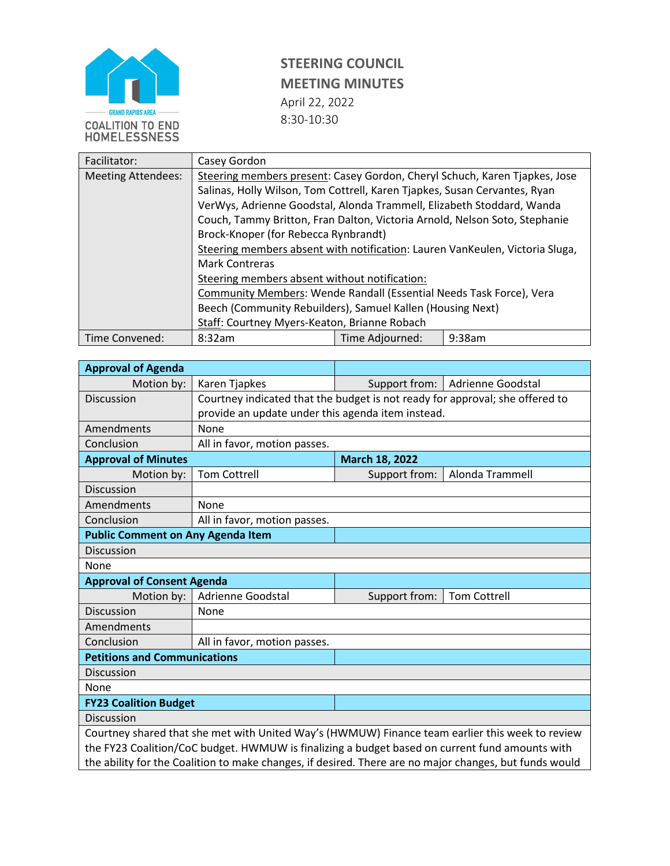

| Facilitator:              | Casey Gordon                                                                 |                           |  |  |  |
|---------------------------|------------------------------------------------------------------------------|---------------------------|--|--|--|
| <b>Meeting Attendees:</b> | Steering members present: Casey Gordon, Cheryl Schuch, Karen Tjapkes, Jose   |                           |  |  |  |
|                           | Salinas, Holly Wilson, Tom Cottrell, Karen Tjapkes, Susan Cervantes, Ryan    |                           |  |  |  |
|                           | VerWys, Adrienne Goodstal, Alonda Trammell, Elizabeth Stoddard, Wanda        |                           |  |  |  |
|                           | Couch, Tammy Britton, Fran Dalton, Victoria Arnold, Nelson Soto, Stephanie   |                           |  |  |  |
|                           | Brock-Knoper (for Rebecca Rynbrandt)                                         |                           |  |  |  |
|                           | Steering members absent with notification: Lauren VanKeulen, Victoria Sluga, |                           |  |  |  |
|                           | <b>Mark Contreras</b>                                                        |                           |  |  |  |
|                           | Steering members absent without notification:                                |                           |  |  |  |
|                           | <b>Community Members: Wende Randall (Essential Needs Task Force), Vera</b>   |                           |  |  |  |
|                           | Beech (Community Rebuilders), Samuel Kallen (Housing Next)                   |                           |  |  |  |
|                           | Staff: Courtney Myers-Keaton, Brianne Robach                                 |                           |  |  |  |
| Time Convened:            | 8:32am                                                                       | Time Adjourned:<br>9:38am |  |  |  |

| <b>Approval of Agenda</b>                                                                              |                                                                              |                                    |                     |  |  |  |
|--------------------------------------------------------------------------------------------------------|------------------------------------------------------------------------------|------------------------------------|---------------------|--|--|--|
| Motion by:                                                                                             | Karen Tjapkes                                                                | Support from:<br>Adrienne Goodstal |                     |  |  |  |
| Discussion                                                                                             | Courtney indicated that the budget is not ready for approval; she offered to |                                    |                     |  |  |  |
|                                                                                                        | provide an update under this agenda item instead.                            |                                    |                     |  |  |  |
| Amendments                                                                                             | None                                                                         |                                    |                     |  |  |  |
| Conclusion                                                                                             | All in favor, motion passes.                                                 |                                    |                     |  |  |  |
| <b>Approval of Minutes</b>                                                                             |                                                                              | March 18, 2022                     |                     |  |  |  |
| Motion by:                                                                                             | <b>Tom Cottrell</b>                                                          | Support from:                      | Alonda Trammell     |  |  |  |
| Discussion                                                                                             |                                                                              |                                    |                     |  |  |  |
| Amendments                                                                                             | None                                                                         |                                    |                     |  |  |  |
| Conclusion                                                                                             | All in favor, motion passes.                                                 |                                    |                     |  |  |  |
| <b>Public Comment on Any Agenda Item</b>                                                               |                                                                              |                                    |                     |  |  |  |
| Discussion                                                                                             |                                                                              |                                    |                     |  |  |  |
| None                                                                                                   |                                                                              |                                    |                     |  |  |  |
| <b>Approval of Consent Agenda</b>                                                                      |                                                                              |                                    |                     |  |  |  |
| Motion by:                                                                                             | Adrienne Goodstal                                                            | Support from:                      | <b>Tom Cottrell</b> |  |  |  |
| Discussion                                                                                             | <b>None</b>                                                                  |                                    |                     |  |  |  |
| Amendments                                                                                             |                                                                              |                                    |                     |  |  |  |
| Conclusion                                                                                             | All in favor, motion passes.                                                 |                                    |                     |  |  |  |
| <b>Petitions and Communications</b>                                                                    |                                                                              |                                    |                     |  |  |  |
| <b>Discussion</b>                                                                                      |                                                                              |                                    |                     |  |  |  |
| None                                                                                                   |                                                                              |                                    |                     |  |  |  |
| <b>FY23 Coalition Budget</b>                                                                           |                                                                              |                                    |                     |  |  |  |
| <b>Discussion</b>                                                                                      |                                                                              |                                    |                     |  |  |  |
| Courtney shared that she met with United Way's (HWMUW) Finance team earlier this week to review        |                                                                              |                                    |                     |  |  |  |
| the FY23 Coalition/CoC budget. HWMUW is finalizing a budget based on current fund amounts with         |                                                                              |                                    |                     |  |  |  |
| the ability for the Coalition to make changes, if desired. There are no major changes, but funds would |                                                                              |                                    |                     |  |  |  |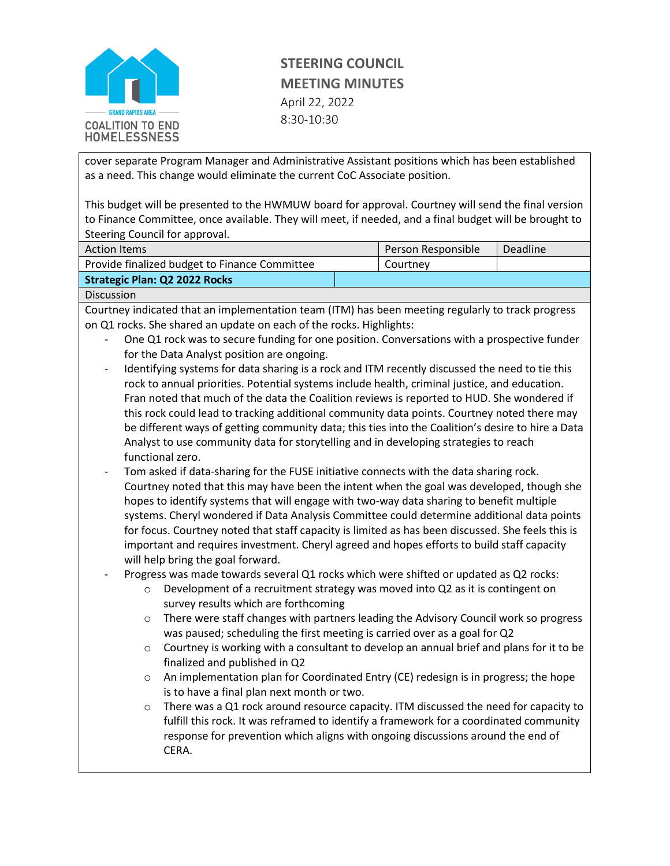

cover separate Program Manager and Administrative Assistant positions which has been established as a need. This change would eliminate the current CoC Associate position.

This budget will be presented to the HWMUW board for approval. Courtney will send the final version to Finance Committee, once available. They will meet, if needed, and a final budget will be brought to Steering Council for approval.

| <b>Action Items</b>                           | Person Responsible | Deadline |
|-----------------------------------------------|--------------------|----------|
| Provide finalized budget to Finance Committee | Courtney           |          |
| <b>Strategic Plan: Q2 2022 Rocks</b>          |                    |          |

Discussion

Courtney indicated that an implementation team (ITM) has been meeting regularly to track progress on Q1 rocks. She shared an update on each of the rocks. Highlights:

- One Q1 rock was to secure funding for one position. Conversations with a prospective funder for the Data Analyst position are ongoing.
- Identifying systems for data sharing is a rock and ITM recently discussed the need to tie this rock to annual priorities. Potential systems include health, criminal justice, and education. Fran noted that much of the data the Coalition reviews is reported to HUD. She wondered if this rock could lead to tracking additional community data points. Courtney noted there may be different ways of getting community data; this ties into the Coalition's desire to hire a Data Analyst to use community data for storytelling and in developing strategies to reach functional zero.
- Tom asked if data-sharing for the FUSE initiative connects with the data sharing rock. Courtney noted that this may have been the intent when the goal was developed, though she hopes to identify systems that will engage with two-way data sharing to benefit multiple systems. Cheryl wondered if Data Analysis Committee could determine additional data points for focus. Courtney noted that staff capacity is limited as has been discussed. She feels this is important and requires investment. Cheryl agreed and hopes efforts to build staff capacity will help bring the goal forward.
- Progress was made towards several Q1 rocks which were shifted or updated as Q2 rocks:
	- $\circ$  Development of a recruitment strategy was moved into Q2 as it is contingent on survey results which are forthcoming
	- o There were staff changes with partners leading the Advisory Council work so progress was paused; scheduling the first meeting is carried over as a goal for Q2
	- $\circ$  Courtney is working with a consultant to develop an annual brief and plans for it to be finalized and published in Q2
	- $\circ$  An implementation plan for Coordinated Entry (CE) redesign is in progress; the hope is to have a final plan next month or two.
	- $\circ$  There was a Q1 rock around resource capacity. ITM discussed the need for capacity to fulfill this rock. It was reframed to identify a framework for a coordinated community response for prevention which aligns with ongoing discussions around the end of CERA.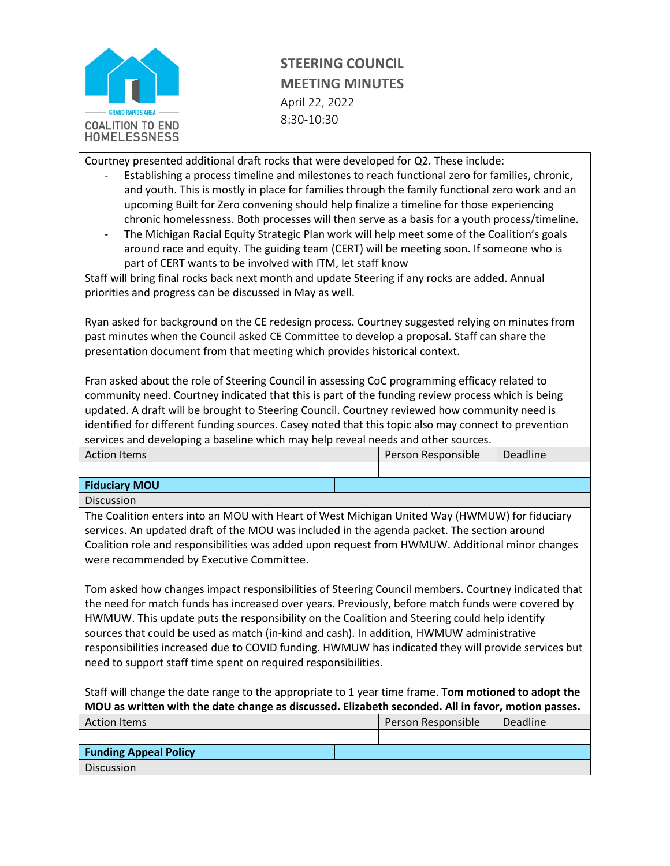

Courtney presented additional draft rocks that were developed for Q2. These include:

- Establishing a process timeline and milestones to reach functional zero for families, chronic, and youth. This is mostly in place for families through the family functional zero work and an upcoming Built for Zero convening should help finalize a timeline for those experiencing chronic homelessness. Both processes will then serve as a basis for a youth process/timeline.
- The Michigan Racial Equity Strategic Plan work will help meet some of the Coalition's goals around race and equity. The guiding team (CERT) will be meeting soon. If someone who is part of CERT wants to be involved with ITM, let staff know

Staff will bring final rocks back next month and update Steering if any rocks are added. Annual priorities and progress can be discussed in May as well.

Ryan asked for background on the CE redesign process. Courtney suggested relying on minutes from past minutes when the Council asked CE Committee to develop a proposal. Staff can share the presentation document from that meeting which provides historical context.

Fran asked about the role of Steering Council in assessing CoC programming efficacy related to community need. Courtney indicated that this is part of the funding review process which is being updated. A draft will be brought to Steering Council. Courtney reviewed how community need is identified for different funding sources. Casey noted that this topic also may connect to prevention services and developing a baseline which may help reveal needs and other sources.

| <b>Action Items</b>  | Person Responsible | Deadline |
|----------------------|--------------------|----------|
|                      |                    |          |
| <b>Fiduciary MOU</b> |                    |          |

Discussion

The Coalition enters into an MOU with Heart of West Michigan United Way (HWMUW) for fiduciary services. An updated draft of the MOU was included in the agenda packet. The section around Coalition role and responsibilities was added upon request from HWMUW. Additional minor changes were recommended by Executive Committee.

Tom asked how changes impact responsibilities of Steering Council members. Courtney indicated that the need for match funds has increased over years. Previously, before match funds were covered by HWMUW. This update puts the responsibility on the Coalition and Steering could help identify sources that could be used as match (in-kind and cash). In addition, HWMUW administrative responsibilities increased due to COVID funding. HWMUW has indicated they will provide services but need to support staff time spent on required responsibilities.

Staff will change the date range to the appropriate to 1 year time frame. **Tom motioned to adopt the MOU as written with the date change as discussed. Elizabeth seconded. All in favor, motion passes.** 

| <b>Action Items</b>          | Person Responsible | Deadline |
|------------------------------|--------------------|----------|
|                              |                    |          |
| <b>Funding Appeal Policy</b> |                    |          |
| <b>Discussion</b>            |                    |          |